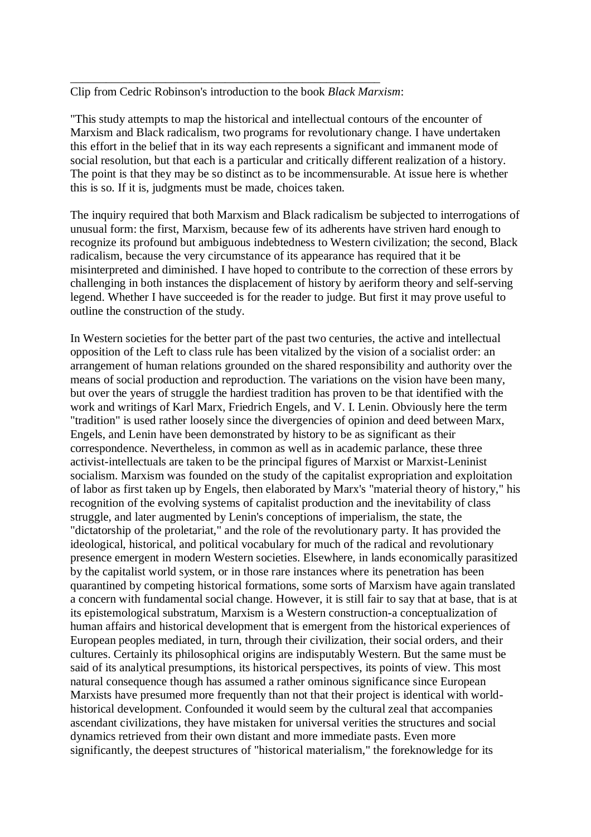Clip from Cedric Robinson's introduction to the book *Black Marxism*:

\_\_\_\_\_\_\_\_\_\_\_\_\_\_\_\_\_\_\_\_\_\_\_\_\_\_\_\_\_\_\_\_\_\_\_\_\_\_\_\_\_\_\_\_\_\_\_\_\_\_\_\_

"This study attempts to map the historical and intellectual contours of the encounter of Marxism and Black radicalism, two programs for revolutionary change. I have undertaken this effort in the belief that in its way each represents a significant and immanent mode of social resolution, but that each is a particular and critically different realization of a history. The point is that they may be so distinct as to be incommensurable. At issue here is whether this is so. If it is, judgments must be made, choices taken.

The inquiry required that both Marxism and Black radicalism be subjected to interrogations of unusual form: the first, Marxism, because few of its adherents have striven hard enough to recognize its profound but ambiguous indebtedness to Western civilization; the second, Black radicalism, because the very circumstance of its appearance has required that it be misinterpreted and diminished. I have hoped to contribute to the correction of these errors by challenging in both instances the displacement of history by aeriform theory and self-serving legend. Whether I have succeeded is for the reader to judge. But first it may prove useful to outline the construction of the study.

In Western societies for the better part of the past two centuries, the active and intellectual opposition of the Left to class rule has been vitalized by the vision of a socialist order: an arrangement of human relations grounded on the shared responsibility and authority over the means of social production and reproduction. The variations on the vision have been many, but over the years of struggle the hardiest tradition has proven to be that identified with the work and writings of Karl Marx, Friedrich Engels, and V. I. Lenin. Obviously here the term "tradition" is used rather loosely since the divergencies of opinion and deed between Marx, Engels, and Lenin have been demonstrated by history to be as significant as their correspondence. Nevertheless, in common as well as in academic parlance, these three activist-intellectuals are taken to be the principal figures of Marxist or Marxist-Leninist socialism. Marxism was founded on the study of the capitalist expropriation and exploitation of labor as first taken up by Engels, then elaborated by Marx's "material theory of history," his recognition of the evolving systems of capitalist production and the inevitability of class struggle, and later augmented by Lenin's conceptions of imperialism, the state, the "dictatorship of the proletariat," and the role of the revolutionary party. It has provided the ideological, historical, and political vocabulary for much of the radical and revolutionary presence emergent in modern Western societies. Elsewhere, in lands economically parasitized by the capitalist world system, or in those rare instances where its penetration has been quarantined by competing historical formations, some sorts of Marxism have again translated a concern with fundamental social change. However, it is still fair to say that at base, that is at its epistemological substratum, Marxism is a Western construction-a conceptualization of human affairs and historical development that is emergent from the historical experiences of European peoples mediated, in turn, through their civilization, their social orders, and their cultures. Certainly its philosophical origins are indisputably Western. But the same must be said of its analytical presumptions, its historical perspectives, its points of view. This most natural consequence though has assumed a rather ominous significance since European Marxists have presumed more frequently than not that their project is identical with worldhistorical development. Confounded it would seem by the cultural zeal that accompanies ascendant civilizations, they have mistaken for universal verities the structures and social dynamics retrieved from their own distant and more immediate pasts. Even more significantly, the deepest structures of "historical materialism," the foreknowledge for its